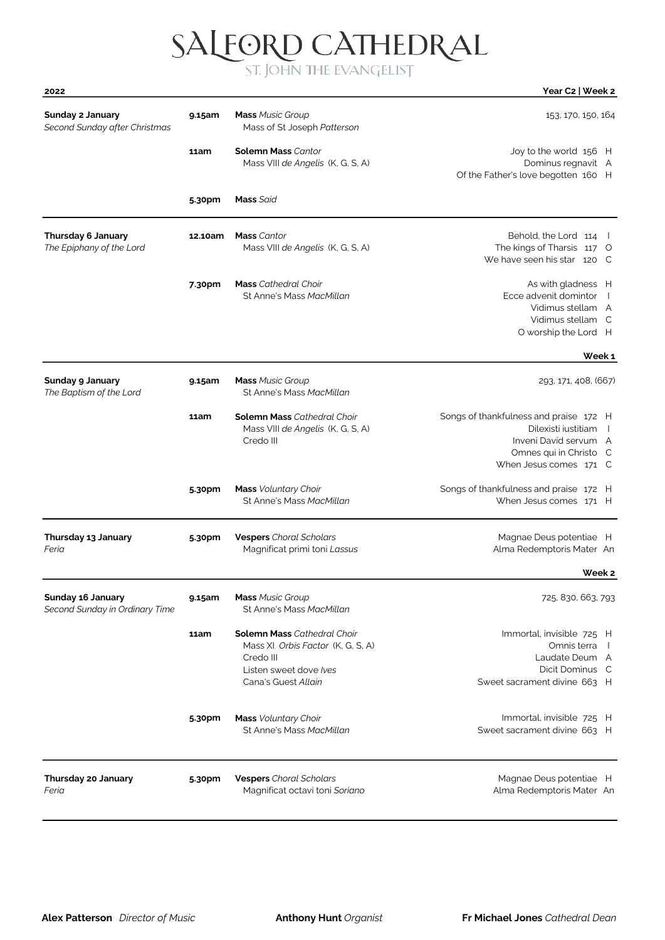# SALFORD CATHEDRAL

| 2022                                                |         |                                                                                                                                       | Year C2   Week 2                                                                                                                                             |
|-----------------------------------------------------|---------|---------------------------------------------------------------------------------------------------------------------------------------|--------------------------------------------------------------------------------------------------------------------------------------------------------------|
| Sunday 2 January<br>Second Sunday after Christmas   | 9.15am  | <b>Mass Music Group</b><br>Mass of St Joseph Patterson                                                                                | 153, 170, 150, 164                                                                                                                                           |
|                                                     | 11am    | <b>Solemn Mass Cantor</b><br>Mass VIII de Angelis (K, G, S, A)                                                                        | Joy to the world 156 H<br>Dominus regnavit A<br>Of the Father's love begotten 160 H                                                                          |
|                                                     | 5.30pm  | <b>Mass Said</b>                                                                                                                      |                                                                                                                                                              |
| Thursday 6 January<br>The Epiphany of the Lord      | 12.10am | <b>Mass</b> Cantor<br>Mass VIII de Angelis (K, G, S, A)                                                                               | Behold, the Lord 114<br>The kings of Tharsis 117 O<br>We have seen his star 120 C                                                                            |
|                                                     | 7.30pm  | <b>Mass</b> Cathedral Choir<br>St Anne's Mass MacMillan                                                                               | As with gladness H<br>Ecce advenit domintor<br>Vidimus stellam A<br>Vidimus stellam C<br>O worship the Lord H                                                |
|                                                     |         |                                                                                                                                       | Week 1                                                                                                                                                       |
| Sunday 9 January<br>The Baptism of the Lord         | 9.15am  | <b>Mass Music Group</b><br>St Anne's Mass MacMillan                                                                                   | 293, 171, 408, (667)                                                                                                                                         |
|                                                     | 11am    | <b>Solemn Mass</b> Cathedral Choir<br>Mass VIII de Angelis (K, G, S, A)<br>Credo III                                                  | Songs of thankfulness and praise 172 H<br>Dilexisti justitiam<br>$\overline{1}$<br>Inveni David servum A<br>Omnes qui in Christo C<br>When Jesus comes 171 C |
|                                                     | 5.30pm  | Mass Voluntary Choir<br>St Anne's Mass MacMillan                                                                                      | Songs of thankfulness and praise 172 H<br>When Jesus comes 171 H                                                                                             |
| Thursday 13 January<br>Feria                        | 5.30pm  | <b>Vespers</b> Choral Scholars<br>Magnificat primi toni Lassus                                                                        | Magnae Deus potentiae H<br>Alma Redemptoris Mater An                                                                                                         |
|                                                     |         |                                                                                                                                       | Week <sub>2</sub>                                                                                                                                            |
| Sunday 16 January<br>Second Sunday in Ordinary Time | 9.15am  | <b>Mass Music Group</b><br>St Anne's Mass MacMillan                                                                                   | 725, 830, 663, 793                                                                                                                                           |
|                                                     | 11am    | <b>Solemn Mass</b> Cathedral Choir<br>Mass XI Orbis Factor (K, G, S, A)<br>Credo III<br>Listen sweet dove Ives<br>Cana's Guest Allain | Immortal, invisible 725 H<br>Omnis terra<br>$\blacksquare$<br>Laudate Deum A<br>Dicit Dominus C<br>Sweet sacrament divine 663 H                              |
|                                                     | 5.30pm  | <b>Mass</b> Voluntary Choir<br>St Anne's Mass MacMillan                                                                               | Immortal, invisible 725 H<br>Sweet sacrament divine 663 H                                                                                                    |
| Thursday 20 January<br>Feria                        | 5.30pm  | <b>Vespers</b> Choral Scholars<br>Magnificat octavi toni Soriano                                                                      | Magnae Deus potentiae H<br>Alma Redemptoris Mater An                                                                                                         |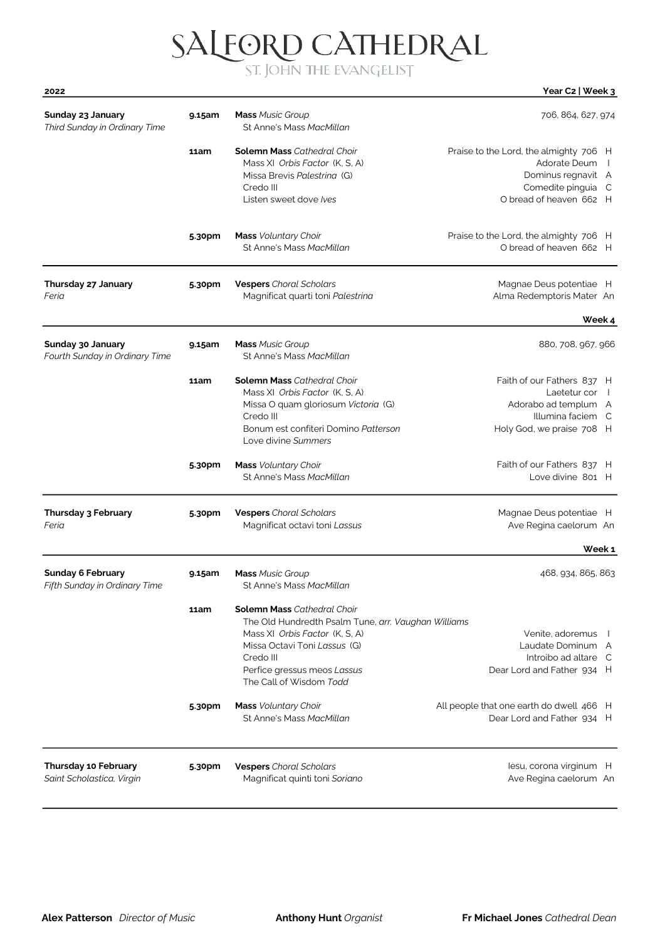### SALEORD CATHEDRAL

#### 2022 Year C2 | Week 3

| Sunday 23 January<br>Third Sunday in Ordinary Time        | 9.15am | <b>Mass Music Group</b><br>St Anne's Mass MacMillan                                                                                                                                                                                | 706, 864, 627, 974                                                                                                                               |
|-----------------------------------------------------------|--------|------------------------------------------------------------------------------------------------------------------------------------------------------------------------------------------------------------------------------------|--------------------------------------------------------------------------------------------------------------------------------------------------|
|                                                           | 11am   | <b>Solemn Mass Cathedral Choir</b><br>Mass XI Orbis Factor (K. S. A)<br>Missa Brevis Palestrina (G)<br>Credo III<br>Listen sweet dove Ives                                                                                         | Praise to the Lord, the almighty 706 H<br>Adorate Deum<br>$\blacksquare$<br>Dominus regnavit A<br>Comedite pinguia C<br>O bread of heaven 662 H  |
|                                                           | 5.30pm | <b>Mass</b> Voluntary Choir<br>St Anne's Mass MacMillan                                                                                                                                                                            | Praise to the Lord, the almighty 706 H<br>O bread of heaven 662 H                                                                                |
| Thursday 27 January<br>Feria                              | 5.30pm | <b>Vespers</b> Choral Scholars<br>Magnificat quarti toni Palestrina                                                                                                                                                                | Magnae Deus potentiae H<br>Alma Redemptoris Mater An                                                                                             |
| Sunday 30 January<br>Fourth Sunday in Ordinary Time       | 9.15am | <b>Mass Music Group</b><br>St Anne's Mass MacMillan                                                                                                                                                                                | Week 4<br>880, 708, 967, 966                                                                                                                     |
|                                                           | 11am   | <b>Solemn Mass Cathedral Choir</b><br>Mass XI Orbis Factor (K, S, A)<br>Missa O quam gloriosum Victoria (G)<br>Credo III<br>Bonum est confiteri Domino Patterson<br>Love divine Summers                                            | Faith of our Fathers 837 H<br>Laetetur cor<br>$\overline{\phantom{a}}$<br>Adorabo ad templum A<br>Illumina faciem C<br>Holy God, we praise 708 H |
|                                                           | 5.30pm | <b>Mass</b> Voluntary Choir<br>St Anne's Mass MacMillan                                                                                                                                                                            | Faith of our Fathers 837 H<br>Love divine 801 H                                                                                                  |
| <b>Thursday 3 February</b><br>Feria                       | 5.30pm | <b>Vespers</b> Choral Scholars<br>Magnificat octavi toni Lassus                                                                                                                                                                    | Magnae Deus potentiae H<br>Ave Regina caelorum An<br>Week 1                                                                                      |
| <b>Sunday 6 February</b><br>Fifth Sunday in Ordinary Time | 9.15am | <b>Mass Music Group</b><br>St Anne's Mass MacMillan                                                                                                                                                                                | 468, 934, 865, 863                                                                                                                               |
|                                                           | 11am   | <b>Solemn Mass</b> Cathedral Choir<br>The Old Hundredth Psalm Tune, arr. Vaughan Williams<br>Mass XI Orbis Factor (K, S, A)<br>Missa Octavi Toni Lassus (G)<br>Credo III<br>Perfice gressus meos Lassus<br>The Call of Wisdom Todd | Venite, adoremus<br>Laudate Dominum A<br>Introibo ad altare C<br>Dear Lord and Father 934 H                                                      |
|                                                           | 5.30pm | <b>Mass</b> Voluntary Choir<br>St Anne's Mass MacMillan                                                                                                                                                                            | All people that one earth do dwell 466 H<br>Dear Lord and Father 934 H                                                                           |
| <b>Thursday 10 February</b><br>Saint Scholastica, Virgin  | 5.30pm | <b>Vespers</b> Choral Scholars<br>Magnificat quinti toni Soriano                                                                                                                                                                   | lesu, corona virginum H<br>Ave Regina caelorum An                                                                                                |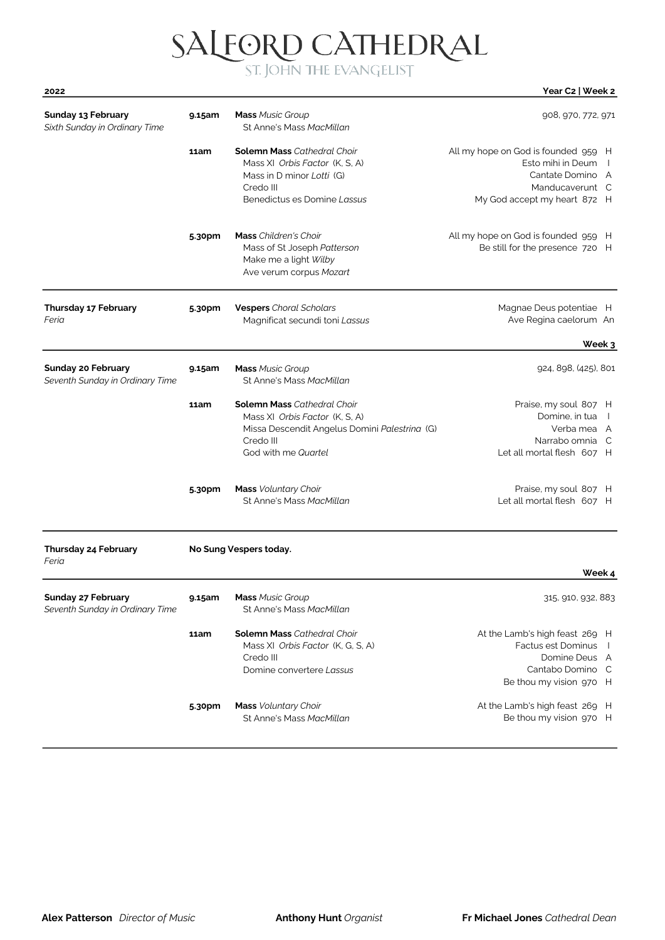# $\text{SALFORD CATHEDRAL}\label{eq:SALEORD}$

| <b>Sunday 13 February</b><br>Sixth Sunday in Ordinary Time   | 9.15am      | <b>Mass Music Group</b><br>St Anne's Mass MacMillan                                                                                                       | 908, 970, 772, 971                                                                                                                         |
|--------------------------------------------------------------|-------------|-----------------------------------------------------------------------------------------------------------------------------------------------------------|--------------------------------------------------------------------------------------------------------------------------------------------|
|                                                              | <b>11am</b> | <b>Solemn Mass</b> Cathedral Choir<br>Mass XI Orbis Factor (K, S, A)<br>Mass in D minor Lotti (G)<br>Credo III<br>Benedictus es Domine Lassus             | All my hope on God is founded 959 H<br>Esto mihi in Deum<br>$\perp$<br>Cantate Domino A<br>Manducaverunt C<br>My God accept my heart 872 H |
|                                                              | 5.30pm      | <b>Mass</b> Children's Choir<br>Mass of St Joseph Patterson<br>Make me a light Wilby<br>Ave verum corpus Mozart                                           | All my hope on God is founded 959 H<br>Be still for the presence 720 H                                                                     |
| <b>Thursday 17 February</b><br>Feria                         | 5.30pm      | <b>Vespers</b> Choral Scholars<br>Magnificat secundi toni Lassus                                                                                          | Magnae Deus potentiae H<br>Ave Regina caelorum An                                                                                          |
|                                                              |             |                                                                                                                                                           | Week 3                                                                                                                                     |
| <b>Sunday 20 February</b><br>Seventh Sunday in Ordinary Time | 9.15am      | <b>Mass Music Group</b><br>St Anne's Mass MacMillan                                                                                                       | 924, 898, (425), 801                                                                                                                       |
|                                                              | 11am        | <b>Solemn Mass Cathedral Choir</b><br>Mass XI Orbis Factor (K, S, A)<br>Missa Descendit Angelus Domini Palestrina (G)<br>Credo III<br>God with me Quartel | Praise, my soul 807 H<br>Domine, in tua<br>$\Box$<br>Verba mea A<br>Narrabo omnia C<br>Let all mortal flesh 607 H                          |
|                                                              | 5.30pm      | <b>Mass</b> Voluntary Choir<br>St Anne's Mass MacMillan                                                                                                   | Praise, my soul 807 H<br>Let all mortal flesh 607 H                                                                                        |
| Thursday 24 February<br>Feria                                |             | No Sung Vespers today.                                                                                                                                    | Week 4                                                                                                                                     |
| <b>Sunday 27 February</b><br>Seventh Sunday in Ordinary Time | 9.15am      | <b>Mass</b> Music Group<br>St Anne's Mass MacMillan                                                                                                       | 315, 910, 932, 883                                                                                                                         |
|                                                              | 11am        | <b>Solemn Mass Cathedral Choir</b><br>Mass XI Orbis Factor (K, G, S, A)<br>Credo III<br>Domine convertere Lassus                                          | At the Lamb's high feast 269 H<br>Factus est Dominus<br>$\overline{1}$<br>Domine Deus A<br>Cantabo Domino C<br>Be thou my vision 970 H     |
|                                                              | 5.30pm      | Mass Voluntary Choir<br>St Anne's Mass MacMillan                                                                                                          | At the Lamb's high feast 269 H<br>Be thou my vision 970 H                                                                                  |

2022 Year C2 | Week 2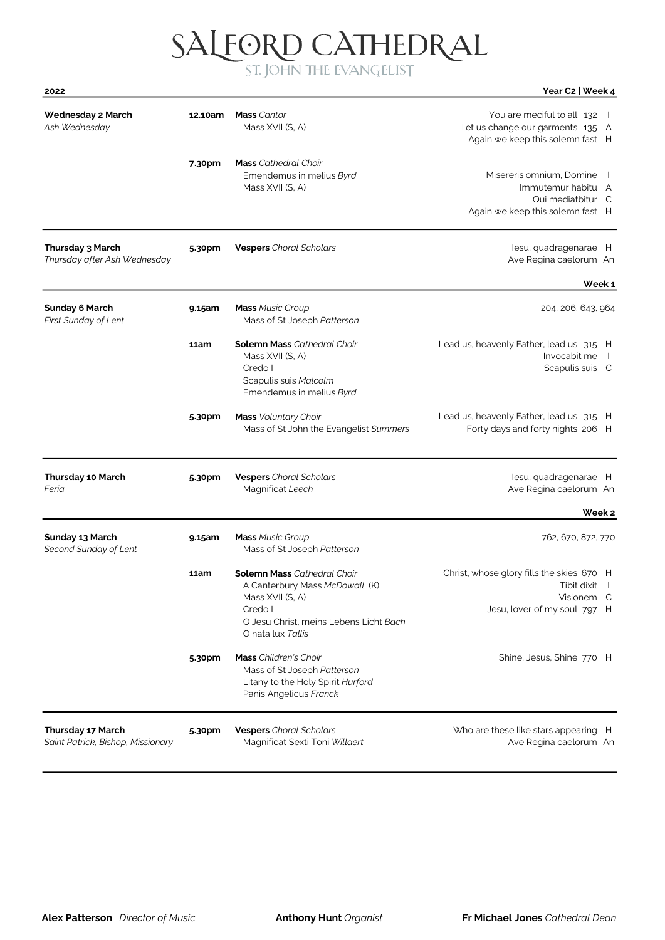# SALFORD CATHEDRAL

| 2022                                                   |         |                                                                                                                                                                    | Year C2   Week 4                                                                                         |
|--------------------------------------------------------|---------|--------------------------------------------------------------------------------------------------------------------------------------------------------------------|----------------------------------------------------------------------------------------------------------|
| <b>Wednesday 2 March</b><br>Ash Wednesday              | 12.10am | <b>Mass</b> Cantor<br>Mass XVII (S, A)                                                                                                                             | You are meciful to all 132  <br>Let us change our garments 135 A<br>Again we keep this solemn fast H     |
|                                                        | 7.30pm  | <b>Mass</b> Cathedral Choir<br>Emendemus in melius Byrd<br>Mass XVII (S, A)                                                                                        | Misereris omnium, Domine<br>Immutemur habitu A<br>Qui mediatbitur C<br>Again we keep this solemn fast H  |
| Thursday 3 March<br>Thursday after Ash Wednesday       | 5.30pm  | <b>Vespers</b> Choral Scholars                                                                                                                                     | lesu, quadragenarae H<br>Ave Regina caelorum An                                                          |
|                                                        |         |                                                                                                                                                                    | Week 1                                                                                                   |
| <b>Sunday 6 March</b><br><b>First Sunday of Lent</b>   | 9.15am  | <b>Mass Music Group</b><br>Mass of St Joseph Patterson                                                                                                             | 204, 206, 643, 964                                                                                       |
|                                                        | 11am    | <b>Solemn Mass Cathedral Choir</b><br>Mass XVII (S, A)<br>Credo I<br>Scapulis suis Malcolm<br>Emendemus in melius Byrd                                             | Lead us, heavenly Father, lead us 315 H<br>Invocabit me<br>$\Box$<br>Scapulis suis C                     |
|                                                        | 5.30pm  | <b>Mass</b> Voluntary Choir<br>Mass of St John the Evangelist Summers                                                                                              | Lead us, heavenly Father, lead us 315 H<br>Forty days and forty nights 206 H                             |
| <b>Thursday 10 March</b><br>Feria                      | 5.30pm  | <b>Vespers</b> Choral Scholars<br>Magnificat Leech                                                                                                                 | lesu, quadragenarae H<br>Ave Regina caelorum An                                                          |
|                                                        |         |                                                                                                                                                                    | Week 2                                                                                                   |
| Sunday 13 March<br>Second Sunday of Lent               | 9.15am  | <b>Mass Music Group</b><br>Mass of St Joseph Patterson                                                                                                             | 762, 670, 872, 770                                                                                       |
|                                                        | 11am    | <b>Solemn Mass Cathedral Choir</b><br>A Canterbury Mass McDowall (K)<br>Mass XVII (S, A)<br>Credo I<br>O Jesu Christ, meins Lebens Licht Bach<br>O nata lux Tallis | Christ, whose glory fills the skies 670 H<br>Tibit dixit  <br>Visionem C<br>Jesu, lover of my soul 797 H |
|                                                        | 5.30pm  | Mass Children's Choir<br>Mass of St Joseph Patterson<br>Litany to the Holy Spirit Hurford<br>Panis Angelicus Franck                                                | Shine, Jesus, Shine 770 H                                                                                |
| Thursday 17 March<br>Saint Patrick, Bishop, Missionary | 5.30pm  | <b>Vespers</b> Choral Scholars<br>Magnificat Sexti Toni Willaert                                                                                                   | Who are these like stars appearing H<br>Ave Regina caelorum An                                           |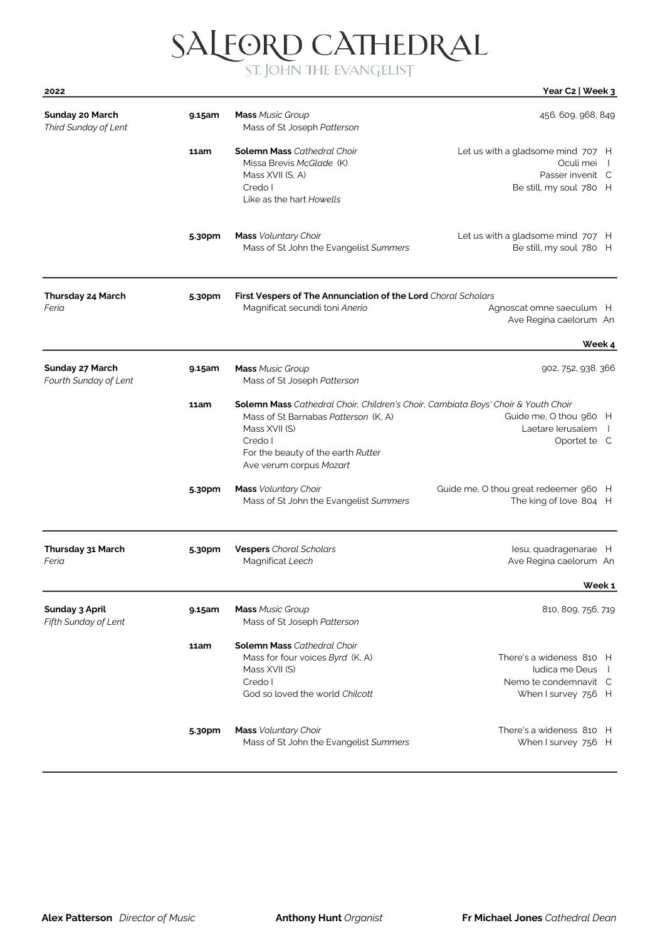SALEORD CATHEDRAL ST. JOHN THE EVANGELIST

| 2022                                          |        |                                                                                                                                                                                                                               | Year C2   Week 3                                                                                        |
|-----------------------------------------------|--------|-------------------------------------------------------------------------------------------------------------------------------------------------------------------------------------------------------------------------------|---------------------------------------------------------------------------------------------------------|
| Sunday 20 March<br>Third Sunday of Lent       | 9.15am | <b>Mass Music Group</b><br>Mass of St Joseph Patterson                                                                                                                                                                        | 456. 609, 968, 849                                                                                      |
|                                               | 11am   | <b>Solemn Mass Cathedral Choir</b><br>Missa Brevis McGlade (K)<br>Mass XVII (S, A)<br>Credo I<br>Like as the hart Howells                                                                                                     | Let us with a gladsome mind 707 H<br>Oculi mei<br>$\Box$<br>Passer invenit C<br>Be still, my soul 780 H |
|                                               | 5.30pm | <b>Mass</b> Voluntary Choir<br>Mass of St John the Evangelist Summers                                                                                                                                                         | Let us with a gladsome mind 707 H<br>Be still, my soul 780 H                                            |
| Thursday 24 March<br>Feria                    | 5.30pm | First Vespers of The Annunciation of the Lord Choral Scholars<br>Magnificat secundi toni Anerio                                                                                                                               | Agnoscat omne saeculum H<br>Ave Regina caelorum An                                                      |
|                                               |        |                                                                                                                                                                                                                               | Week 4                                                                                                  |
| Sunday 27 March<br>Fourth Sunday of Lent      | 9.15am | <b>Mass Music Group</b><br>Mass of St Joseph Patterson                                                                                                                                                                        | 902, 752, 938. 366                                                                                      |
|                                               | 11am   | <b>Solemn Mass</b> Cathedral Choir, Children's Choir, Cambiata Boys' Choir & Youth Choir<br>Mass of St Barnabas Patterson (K, A)<br>Mass XVII (S)<br>Credo I<br>For the beauty of the earth Rutter<br>Ave verum corpus Mozart | Guide me, O thou 960 H<br>Laetare lerusalem<br>Oportet te C                                             |
|                                               | 5.30pm | <b>Mass</b> Voluntary Choir<br>Mass of St John the Evangelist Summers                                                                                                                                                         | Guide me, O thou great redeemer 960 H<br>The king of love 804 H                                         |
| Thursday 31 March<br>Feria                    | 5.30pm | <b>Vespers</b> Choral Scholars<br>Magnificat Leech                                                                                                                                                                            | lesu, quadragenarae H<br>Ave Regina caelorum An                                                         |
|                                               |        |                                                                                                                                                                                                                               | Week 1                                                                                                  |
| <b>Sunday 3 April</b><br>Fifth Sunday of Lent | 9.15am | <b>Mass Music Group</b><br>Mass of St Joseph Patterson                                                                                                                                                                        | 810, 809, 756, 719                                                                                      |

Mass for four voices Byrd (K, A) There's a wideness 810 H Mass XVII (S) **Iudica me Deus II**<br>Credo I **Iudica me Deus II**<br>Nemo te condemnavit C

God so loved the world Chilcott Chilcott Chilcott When I survey 756 H

Mass of St John the Evangelist Summers When I survey 756 H

5.30pm Mass Voluntary Choir There's a wideness 810 H

11am Solemn Mass Cathedral Choir

Nemo te condemnavit C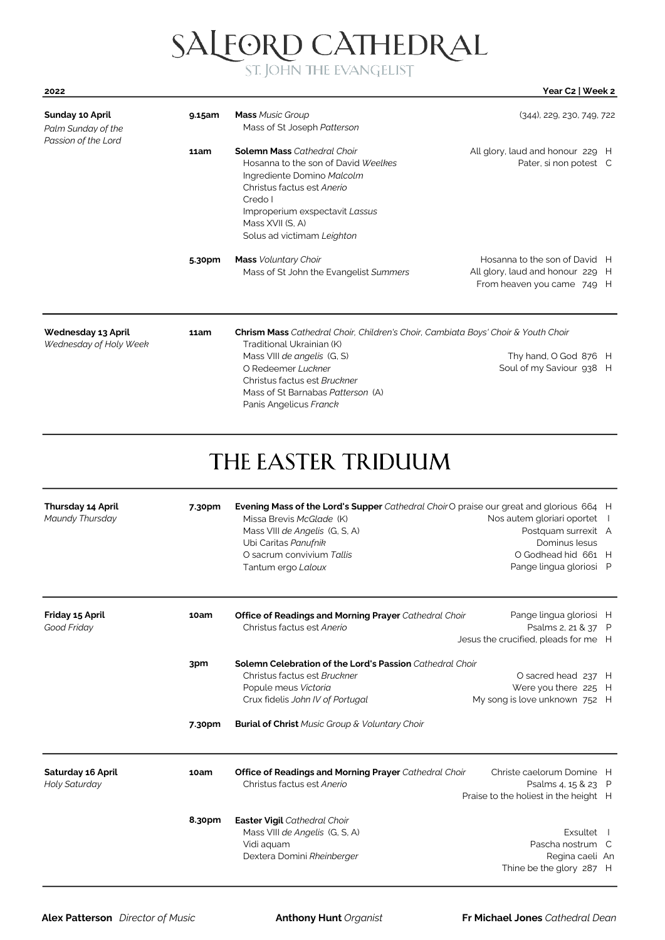#### SALEORD CATHEDRAL

#### 2022 Year C2 | Week 2

| Sunday 10 April<br>Palm Sunday of the<br>Passion of the Lord | 9.15am | <b>Mass Music Group</b><br>Mass of St Joseph Patterson                                                                                                                                                                                                                    | $(344)$ , 229, 230, 749, 722                                                                    |
|--------------------------------------------------------------|--------|---------------------------------------------------------------------------------------------------------------------------------------------------------------------------------------------------------------------------------------------------------------------------|-------------------------------------------------------------------------------------------------|
|                                                              | 11am   | <b>Solemn Mass Cathedral Choir</b><br>Hosanna to the son of David Weelkes<br>Ingrediente Domino Malcolm<br>Christus factus est Anerio<br>Credo I<br>Improperium exspectavit Lassus<br>Mass XVII (S. A)<br>Solus ad victimam Leighton                                      | All glory, laud and honour 229 H<br>Pater, si non potest C                                      |
|                                                              | 5.30pm | <b>Mass</b> Voluntary Choir<br>Mass of St John the Evangelist Summers                                                                                                                                                                                                     | Hosanna to the son of David H<br>All glory, laud and honour 229 H<br>From heaven you came 749 H |
| Wednesday 13 April<br>Wednesday of Holy Week                 | 11am   | <b>Chrism Mass</b> Cathedral Choir, Children's Choir, Cambiata Boys' Choir & Youth Choir<br>Traditional Ukrainian (K)<br>Mass VIII de angelis (G, S)<br>O Redeemer Luckner<br>Christus factus est Bruckner<br>Mass of St Barnabas Patterson (A)<br>Panis Angelicus Franck | Thy hand, O God 876 H<br>Soul of my Saviour 938 H                                               |

#### THE EASTER TRIDUUM

| <b>Thursday 14 April</b><br>Maundy Thursday | 7.30pm        | Evening Mass of the Lord's Supper Cathedral ChoirO praise our great and glorious 664 H<br>Missa Brevis McGlade (K)<br>Mass VIII de Angelis (G, S, A)<br>Ubi Caritas Panufnik<br>O sacrum convivium Tallis<br>Tantum ergo Laloux | Nos autem gloriari oportet<br>Postquam surrexit A<br>Dominus lesus<br>O Godhead hid 661 H<br>Pange lingua gloriosi P |  |
|---------------------------------------------|---------------|---------------------------------------------------------------------------------------------------------------------------------------------------------------------------------------------------------------------------------|----------------------------------------------------------------------------------------------------------------------|--|
| Friday 15 April<br>Good Friday              | 10am          | <b>Office of Readings and Morning Prayer</b> Cathedral Choir<br>Christus factus est Anerio                                                                                                                                      | Pange lingua gloriosi H<br>Psalms 2, 21 & 37 P<br>Jesus the crucified, pleads for me H                               |  |
|                                             | 3pm<br>7.30pm | Solemn Celebration of the Lord's Passion Cathedral Choir<br>Christus factus est Bruckner<br>Popule meus Victoria<br>Crux fidelis John IV of Portugal<br><b>Burial of Christ</b> Music Group & Voluntary Choir                   | O sacred head 237 H<br>Were you there 225 H<br>My song is love unknown 752 H                                         |  |
| Saturday 16 April<br>Holy Saturday          | 10am          | <b>Office of Readings and Morning Prayer</b> Cathedral Choir<br>Christus factus est Anerio                                                                                                                                      | Christe caelorum Domine H<br>Psalms 4, 15 & 23 P<br>Praise to the holiest in the height H                            |  |
|                                             | 8.30pm        | Easter Vigil Cathedral Choir<br>Mass VIII de Angelis (G, S, A)<br>Vidi aquam<br>Dextera Domini Rheinberger                                                                                                                      | Exsultet<br>Pascha nostrum C<br>Regina caeli An<br>Thine be the glory 287 H                                          |  |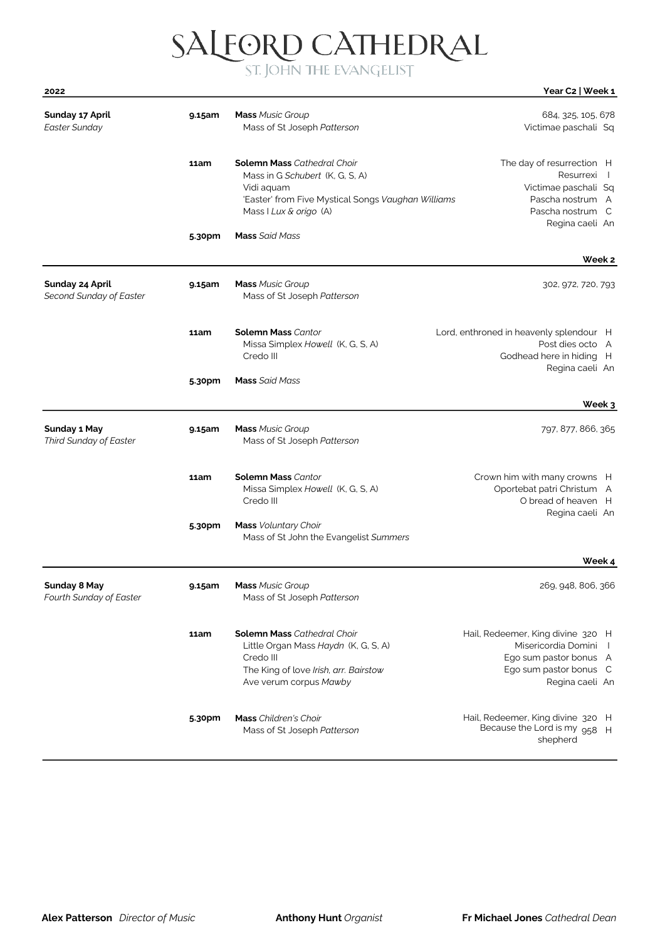|      | SALFORD CATHEDRAL       |                  |
|------|-------------------------|------------------|
| 2022 | ST. JOHN THE EVANGELIST | Year C2   Week 1 |
|      |                         |                  |

| Sunday 17 April<br><b>Easter Sunday</b>              | 9.15am | <b>Mass Music Group</b><br>Mass of St Joseph Patterson                                                                                                              | 684, 325, 105, 678<br>Victimae paschali Sq                                                                                                        |
|------------------------------------------------------|--------|---------------------------------------------------------------------------------------------------------------------------------------------------------------------|---------------------------------------------------------------------------------------------------------------------------------------------------|
|                                                      | 11am   | <b>Solemn Mass Cathedral Choir</b><br>Mass in G Schubert (K. G. S. A)<br>Vidi aquam<br>'Easter' from Five Mystical Songs Vaughan Williams<br>Mass I Lux & origo (A) | The day of resurrection H<br>Resurrexi<br>$\perp$<br>Victimae paschali Sq<br>Pascha nostrum A<br>Pascha nostrum C<br>Regina caeli An              |
|                                                      | 5.30pm | <b>Mass</b> Said Mass                                                                                                                                               | Week 2                                                                                                                                            |
| Sunday 24 April<br>Second Sunday of Easter           | 9.15am | <b>Mass Music Group</b><br>Mass of St Joseph Patterson                                                                                                              | 302, 972, 720, 793                                                                                                                                |
|                                                      | 11am   | <b>Solemn Mass Cantor</b><br>Missa Simplex Howell (K, G, S, A)<br>Credo III                                                                                         | Lord, enthroned in heavenly splendour H<br>Post dies octo A<br>Godhead here in hiding H                                                           |
|                                                      | 5.30pm | <b>Mass</b> Said Mass                                                                                                                                               | Regina caeli An                                                                                                                                   |
|                                                      |        |                                                                                                                                                                     | Week 3                                                                                                                                            |
| <b>Sunday 1 May</b><br><b>Third Sunday of Easter</b> | 9.15am | <b>Mass Music Group</b><br>Mass of St Joseph Patterson                                                                                                              | 797, 877, 866, 365                                                                                                                                |
|                                                      | 11am   | <b>Solemn Mass Cantor</b><br>Missa Simplex Howell (K, G, S, A)<br>Credo III                                                                                         | Crown him with many crowns H<br>Oportebat patri Christum A<br>O bread of heaven H<br>Regina caeli An                                              |
|                                                      | 5.30pm | <b>Mass</b> Voluntary Choir<br>Mass of St John the Evangelist Summers                                                                                               |                                                                                                                                                   |
|                                                      |        |                                                                                                                                                                     | Week 4                                                                                                                                            |
| <b>Sunday 8 May</b><br>Fourth Sunday of Easter       | 9.15am | <b>Mass Music Group</b><br>Mass of St Joseph Patterson                                                                                                              | 269, 948, 806, 366                                                                                                                                |
|                                                      | 11am   | <b>Solemn Mass Cathedral Choir</b><br>Little Organ Mass Haydn (K, G, S, A)<br>Credo III<br>The King of love Irish, arr. Bairstow<br>Ave verum corpus Mawby          | Hail, Redeemer, King divine 320 H<br>Misericordia Domini<br>$\overline{1}$<br>Ego sum pastor bonus A<br>Ego sum pastor bonus C<br>Regina caeli An |
|                                                      | 5.30pm | <b>Mass</b> Children's Choir<br>Mass of St Joseph Patterson                                                                                                         | Hail, Redeemer, King divine 320 H<br>Because the Lord is my 958 H<br>shepherd                                                                     |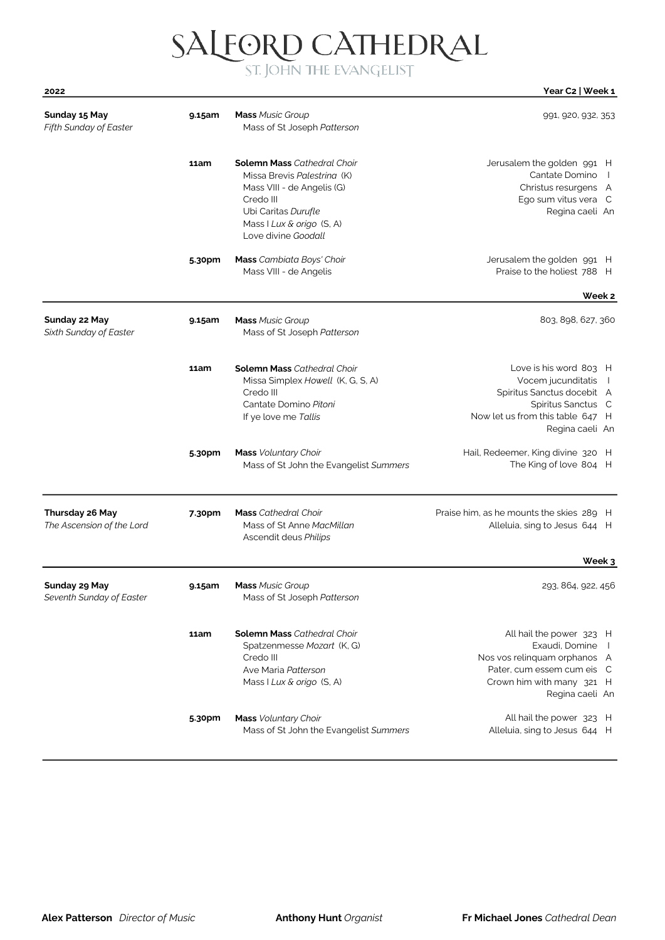# SALFORD CATHEDRAL

| 2022                                         |        |                                                                                                                                                                                         | Year C2   Week 1                                                                                                                                                   |
|----------------------------------------------|--------|-----------------------------------------------------------------------------------------------------------------------------------------------------------------------------------------|--------------------------------------------------------------------------------------------------------------------------------------------------------------------|
| Sunday 15 May<br>Fifth Sunday of Easter      | 9.15am | <b>Mass Music Group</b><br>Mass of St Joseph Patterson                                                                                                                                  | 991, 920, 932, 353                                                                                                                                                 |
|                                              | 11am   | <b>Solemn Mass Cathedral Choir</b><br>Missa Brevis Palestrina (K)<br>Mass VIII - de Angelis (G)<br>Credo III<br>Ubi Caritas Durufle<br>Mass I Lux & origo (S, A)<br>Love divine Goodall | Jerusalem the golden 991 H<br>Cantate Domino<br>Christus resurgens A<br>Ego sum vitus vera C<br>Regina caeli An                                                    |
|                                              | 5.30pm | Mass Cambiata Boys' Choir<br>Mass VIII - de Angelis                                                                                                                                     | Jerusalem the golden 991 H<br>Praise to the holiest 788 H                                                                                                          |
|                                              |        |                                                                                                                                                                                         | Week 2                                                                                                                                                             |
| Sunday 22 May<br>Sixth Sunday of Easter      | 9.15am | <b>Mass Music Group</b><br>Mass of St Joseph Patterson                                                                                                                                  | 803, 898, 627, 360                                                                                                                                                 |
|                                              | 11am   | <b>Solemn Mass Cathedral Choir</b><br>Missa Simplex Howell (K, G, S, A)<br>Credo III<br>Cantate Domino Pitoni<br>If ye love me Tallis                                                   | Love is his word 803 H<br>Vocem jucunditatis<br>$\Box$<br>Spiritus Sanctus docebit A<br>Spiritus Sanctus C<br>Now let us from this table 647 H<br>Regina caeli An  |
|                                              | 5.30pm | <b>Mass</b> Voluntary Choir<br>Mass of St John the Evangelist Summers                                                                                                                   | Hail, Redeemer, King divine 320 H<br>The King of love 804 H                                                                                                        |
| Thursday 26 May<br>The Ascension of the Lord | 7.30pm | <b>Mass</b> Cathedral Choir<br>Mass of St Anne MacMillan<br>Ascendit deus Philips                                                                                                       | Praise him, as he mounts the skies 289 H<br>Alleluia, sing to Jesus 644 H                                                                                          |
|                                              |        |                                                                                                                                                                                         | Week 3                                                                                                                                                             |
| Sunday 29 May<br>Seventh Sunday of Easter    | 9.15am | <b>Mass</b> Music Group<br>Mass of St Joseph Patterson                                                                                                                                  | 293, 864, 922, 456                                                                                                                                                 |
|                                              | 11am   | <b>Solemn Mass Cathedral Choir</b><br>Spatzenmesse Mozart (K, G)<br>Credo III<br>Ave Maria Patterson<br>Mass I Lux & origo (S, A)                                                       | All hail the power 323 H<br>Exaudi, Domine<br>$\Box$<br>Nos vos relinquam orphanos A<br>Pater, cum essem cum eis C<br>Crown him with many 321 H<br>Regina caeli An |
|                                              | 5.30pm | <b>Mass</b> Voluntary Choir<br>Mass of St John the Evangelist Summers                                                                                                                   | All hail the power 323 H<br>Alleluia, sing to Jesus 644 H                                                                                                          |